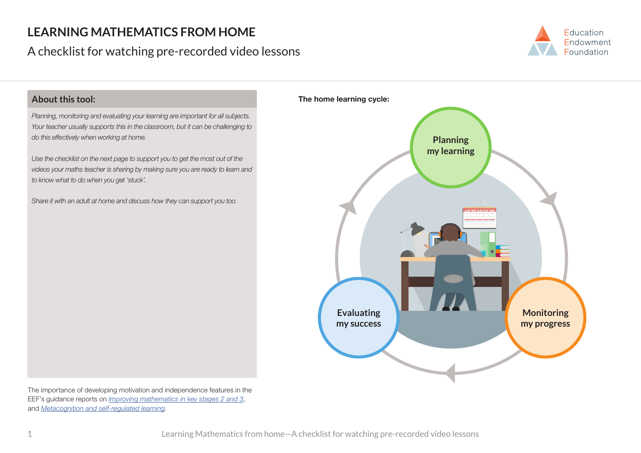## **LEARNING MATHEMATICS FROM HOME**

## A checklist for watching pre-recorded video lessons





The importance of developing motivation and independence features in the EEF's guidance reports on *Improving mathematics in key stages 2 and 3*, and *Metacognition and self-regulated learning*.